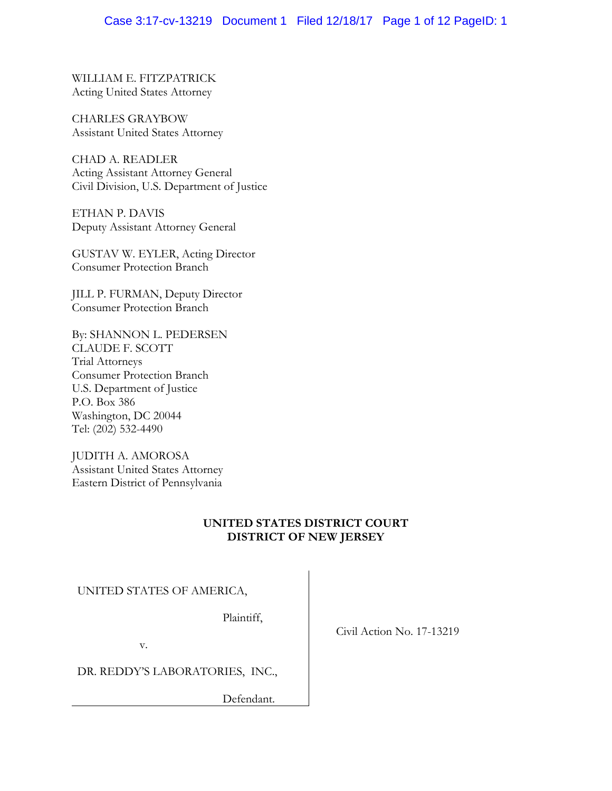# Case 3:17-cv-13219 Document 1 Filed 12/18/17 Page 1 of 12 PageID: 1

WILLIAM E. FITZPATRICK Acting United States Attorney

CHARLES GRAYBOW Assistant United States Attorney

CHAD A. READLER Acting Assistant Attorney General Civil Division, U.S. Department of Justice

ETHAN P. DAVIS Deputy Assistant Attorney General

GUSTAV W. EYLER, Acting Director Consumer Protection Branch

JILL P. FURMAN, Deputy Director Consumer Protection Branch

By: SHANNON L. PEDERSEN CLAUDE F. SCOTT Trial Attorneys Consumer Protection Branch U.S. Department of Justice P.O. Box 386 Washington, DC 20044 Tel: (202) 532-4490

JUDITH A. AMOROSA Assistant United States Attorney Eastern District of Pennsylvania

# **UNITED STATES DISTRICT COURT DISTRICT OF NEW JERSEY**

### UNITED STATES OF AMERICA,

Plaintiff,

v.

DR. REDDY'S LABORATORIES, INC.,

Defendant.

Civil Action No. 17-13219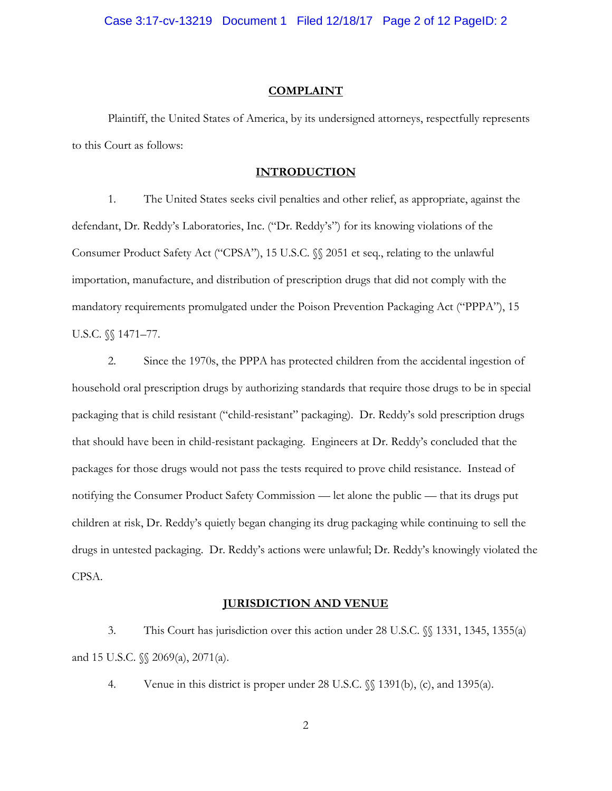Case 3:17-cv-13219 Document 1 Filed 12/18/17 Page 2 of 12 PageID: 2

#### **COMPLAINT**

 Plaintiff, the United States of America, by its undersigned attorneys, respectfully represents to this Court as follows:

# **INTRODUCTION**

1. The United States seeks civil penalties and other relief, as appropriate, against the defendant, Dr. Reddy's Laboratories, Inc. ("Dr. Reddy's") for its knowing violations of the Consumer Product Safety Act ("CPSA"), 15 U.S.C. §§ 2051 et seq., relating to the unlawful importation, manufacture, and distribution of prescription drugs that did not comply with the mandatory requirements promulgated under the Poison Prevention Packaging Act ("PPPA"), 15 U.S.C. §§ 1471–77.

2. Since the 1970s, the PPPA has protected children from the accidental ingestion of household oral prescription drugs by authorizing standards that require those drugs to be in special packaging that is child resistant ("child-resistant" packaging). Dr. Reddy's sold prescription drugs that should have been in child-resistant packaging. Engineers at Dr. Reddy's concluded that the packages for those drugs would not pass the tests required to prove child resistance. Instead of notifying the Consumer Product Safety Commission — let alone the public — that its drugs put children at risk, Dr. Reddy's quietly began changing its drug packaging while continuing to sell the drugs in untested packaging. Dr. Reddy's actions were unlawful; Dr. Reddy's knowingly violated the CPSA.

# **JURISDICTION AND VENUE**

3. This Court has jurisdiction over this action under 28 U.S.C. §§ 1331, 1345, 1355(a) and 15 U.S.C. §§ 2069(a), 2071(a).

4. Venue in this district is proper under 28 U.S.C. §§ 1391(b), (c), and 1395(a).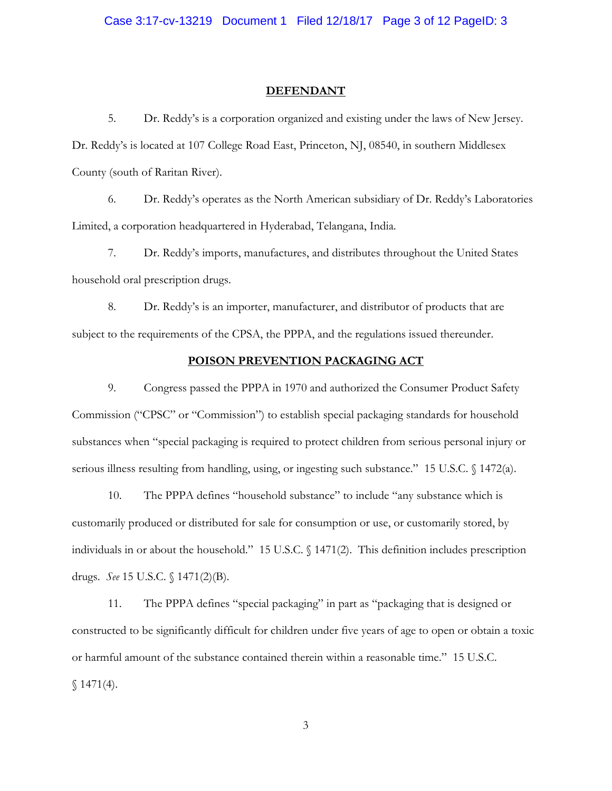#### **DEFENDANT**

5. Dr. Reddy's is a corporation organized and existing under the laws of New Jersey. Dr. Reddy's is located at 107 College Road East, Princeton, NJ, 08540, in southern Middlesex County (south of Raritan River).

6. Dr. Reddy's operates as the North American subsidiary of Dr. Reddy's Laboratories Limited, a corporation headquartered in Hyderabad, Telangana, India.

7. Dr. Reddy's imports, manufactures, and distributes throughout the United States household oral prescription drugs.

8. Dr. Reddy's is an importer, manufacturer, and distributor of products that are subject to the requirements of the CPSA, the PPPA, and the regulations issued thereunder.

### **POISON PREVENTION PACKAGING ACT**

9. Congress passed the PPPA in 1970 and authorized the Consumer Product Safety Commission ("CPSC" or "Commission") to establish special packaging standards for household substances when "special packaging is required to protect children from serious personal injury or serious illness resulting from handling, using, or ingesting such substance." 15 U.S.C. § 1472(a).

10. The PPPA defines "household substance" to include "any substance which is customarily produced or distributed for sale for consumption or use, or customarily stored, by individuals in or about the household." 15 U.S.C. § 1471(2). This definition includes prescription drugs. *See* 15 U.S.C. § 1471(2)(B).

11. The PPPA defines "special packaging" in part as "packaging that is designed or constructed to be significantly difficult for children under five years of age to open or obtain a toxic or harmful amount of the substance contained therein within a reasonable time." 15 U.S.C.  $$1471(4).$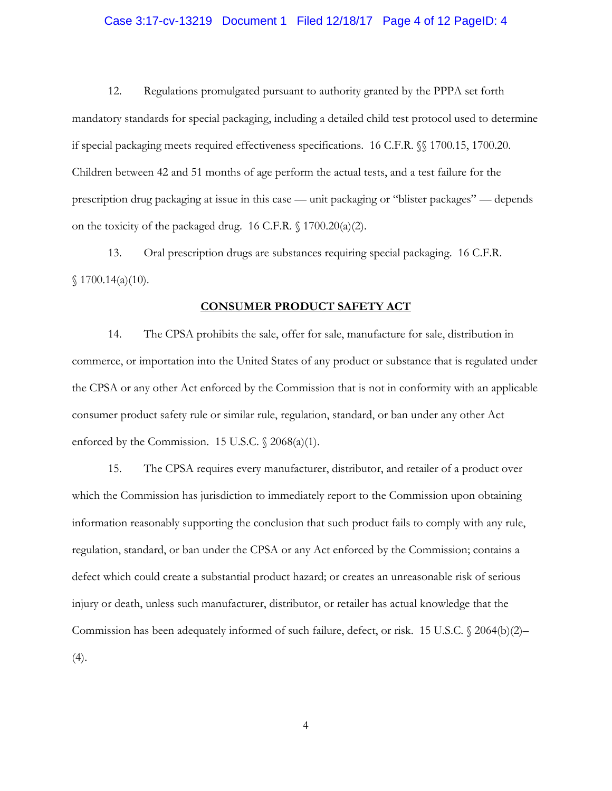#### Case 3:17-cv-13219 Document 1 Filed 12/18/17 Page 4 of 12 PageID: 4

12. Regulations promulgated pursuant to authority granted by the PPPA set forth mandatory standards for special packaging, including a detailed child test protocol used to determine if special packaging meets required effectiveness specifications. 16 C.F.R. §§ 1700.15, 1700.20. Children between 42 and 51 months of age perform the actual tests, and a test failure for the prescription drug packaging at issue in this case — unit packaging or "blister packages" — depends on the toxicity of the packaged drug. 16 C.F.R. § 1700.20(a)(2).

13. Oral prescription drugs are substances requiring special packaging. 16 C.F.R.  $$1700.14(a)(10).$ 

# **CONSUMER PRODUCT SAFETY ACT**

14. The CPSA prohibits the sale, offer for sale, manufacture for sale, distribution in commerce, or importation into the United States of any product or substance that is regulated under the CPSA or any other Act enforced by the Commission that is not in conformity with an applicable consumer product safety rule or similar rule, regulation, standard, or ban under any other Act enforced by the Commission. 15 U.S.C.  $\sqrt{2068(a)(1)}$ .

15. The CPSA requires every manufacturer, distributor, and retailer of a product over which the Commission has jurisdiction to immediately report to the Commission upon obtaining information reasonably supporting the conclusion that such product fails to comply with any rule, regulation, standard, or ban under the CPSA or any Act enforced by the Commission; contains a defect which could create a substantial product hazard; or creates an unreasonable risk of serious injury or death, unless such manufacturer, distributor, or retailer has actual knowledge that the Commission has been adequately informed of such failure, defect, or risk. 15 U.S.C. § 2064(b)(2)– (4).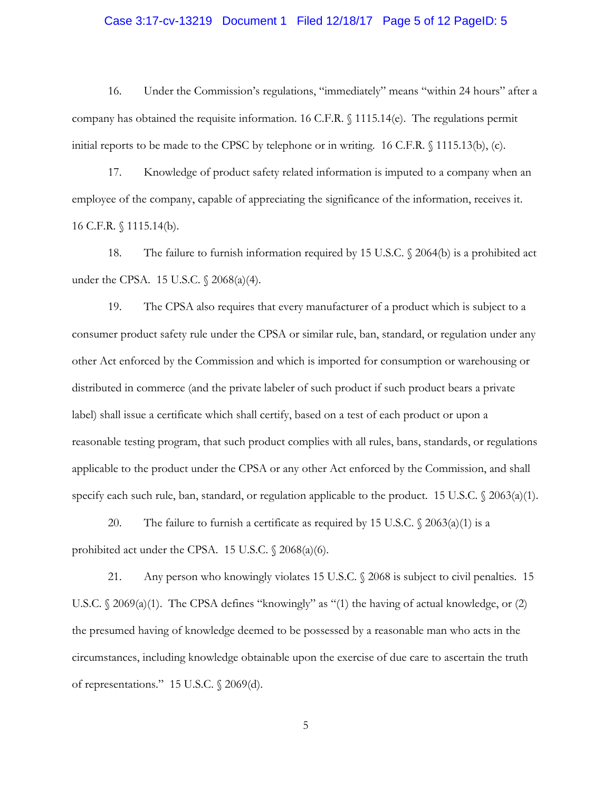# Case 3:17-cv-13219 Document 1 Filed 12/18/17 Page 5 of 12 PageID: 5

16. Under the Commission's regulations, "immediately" means "within 24 hours" after a company has obtained the requisite information. 16 C.F.R. § 1115.14(e). The regulations permit initial reports to be made to the CPSC by telephone or in writing. 16 C.F.R. § 1115.13(b), (c).

17. Knowledge of product safety related information is imputed to a company when an employee of the company, capable of appreciating the significance of the information, receives it. 16 C.F.R. § 1115.14(b).

18. The failure to furnish information required by 15 U.S.C. § 2064(b) is a prohibited act under the CPSA. 15 U.S.C. § 2068(a)(4).

19. The CPSA also requires that every manufacturer of a product which is subject to a consumer product safety rule under the CPSA or similar rule, ban, standard, or regulation under any other Act enforced by the Commission and which is imported for consumption or warehousing or distributed in commerce (and the private labeler of such product if such product bears a private label) shall issue a certificate which shall certify, based on a test of each product or upon a reasonable testing program, that such product complies with all rules, bans, standards, or regulations applicable to the product under the CPSA or any other Act enforced by the Commission, and shall specify each such rule, ban, standard, or regulation applicable to the product. 15 U.S.C. § 2063(a)(1).

20. The failure to furnish a certificate as required by 15 U.S.C.  $\sqrt{2063(a)(1)}$  is a prohibited act under the CPSA. 15 U.S.C. § 2068(a)(6).

21. Any person who knowingly violates 15 U.S.C. § 2068 is subject to civil penalties. 15 U.S.C. § 2069(a)(1). The CPSA defines "knowingly" as "(1) the having of actual knowledge, or (2) the presumed having of knowledge deemed to be possessed by a reasonable man who acts in the circumstances, including knowledge obtainable upon the exercise of due care to ascertain the truth of representations." 15 U.S.C. § 2069(d).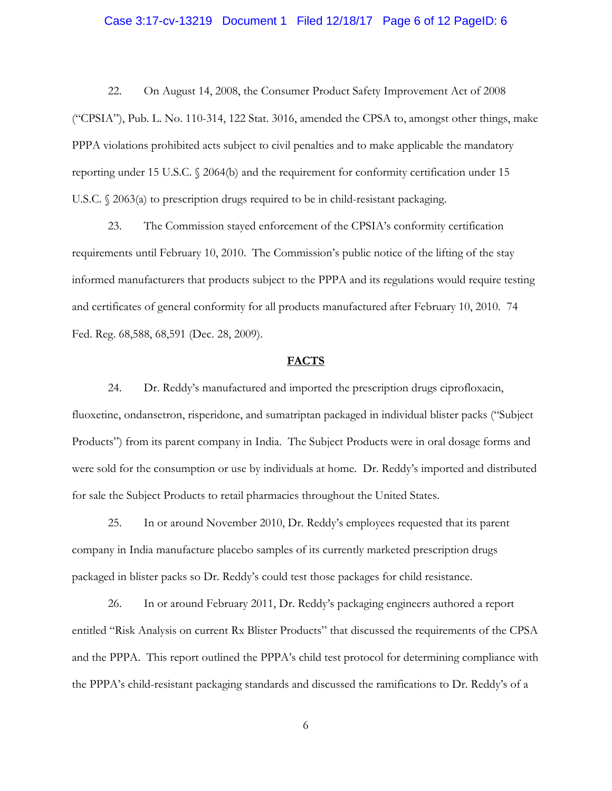#### Case 3:17-cv-13219 Document 1 Filed 12/18/17 Page 6 of 12 PageID: 6

22. On August 14, 2008, the Consumer Product Safety Improvement Act of 2008 ("CPSIA"), Pub. L. No. 110-314, 122 Stat. 3016, amended the CPSA to, amongst other things, make PPPA violations prohibited acts subject to civil penalties and to make applicable the mandatory reporting under 15 U.S.C. § 2064(b) and the requirement for conformity certification under 15 U.S.C. § 2063(a) to prescription drugs required to be in child-resistant packaging.

23. The Commission stayed enforcement of the CPSIA's conformity certification requirements until February 10, 2010. The Commission's public notice of the lifting of the stay informed manufacturers that products subject to the PPPA and its regulations would require testing and certificates of general conformity for all products manufactured after February 10, 2010. 74 Fed. Reg. 68,588, 68,591 (Dec. 28, 2009).

### **FACTS**

24. Dr. Reddy's manufactured and imported the prescription drugs ciprofloxacin, fluoxetine, ondansetron, risperidone, and sumatriptan packaged in individual blister packs ("Subject Products") from its parent company in India. The Subject Products were in oral dosage forms and were sold for the consumption or use by individuals at home. Dr. Reddy's imported and distributed for sale the Subject Products to retail pharmacies throughout the United States.

25. In or around November 2010, Dr. Reddy's employees requested that its parent company in India manufacture placebo samples of its currently marketed prescription drugs packaged in blister packs so Dr. Reddy's could test those packages for child resistance.

26. In or around February 2011, Dr. Reddy's packaging engineers authored a report entitled "Risk Analysis on current Rx Blister Products" that discussed the requirements of the CPSA and the PPPA. This report outlined the PPPA's child test protocol for determining compliance with the PPPA's child-resistant packaging standards and discussed the ramifications to Dr. Reddy's of a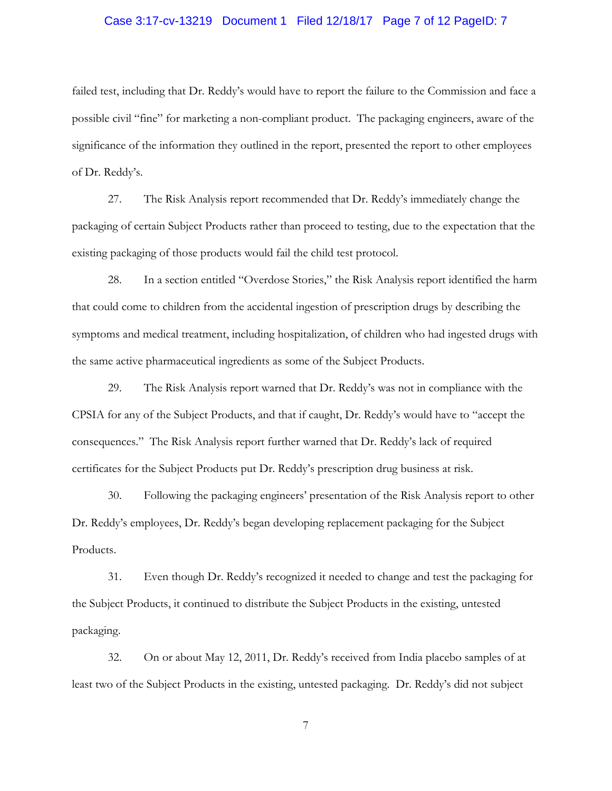# Case 3:17-cv-13219 Document 1 Filed 12/18/17 Page 7 of 12 PageID: 7

failed test, including that Dr. Reddy's would have to report the failure to the Commission and face a possible civil "fine" for marketing a non-compliant product. The packaging engineers, aware of the significance of the information they outlined in the report, presented the report to other employees of Dr. Reddy's.

27. The Risk Analysis report recommended that Dr. Reddy's immediately change the packaging of certain Subject Products rather than proceed to testing, due to the expectation that the existing packaging of those products would fail the child test protocol.

28. In a section entitled "Overdose Stories," the Risk Analysis report identified the harm that could come to children from the accidental ingestion of prescription drugs by describing the symptoms and medical treatment, including hospitalization, of children who had ingested drugs with the same active pharmaceutical ingredients as some of the Subject Products.

29. The Risk Analysis report warned that Dr. Reddy's was not in compliance with the CPSIA for any of the Subject Products, and that if caught, Dr. Reddy's would have to "accept the consequences." The Risk Analysis report further warned that Dr. Reddy's lack of required certificates for the Subject Products put Dr. Reddy's prescription drug business at risk.

30. Following the packaging engineers' presentation of the Risk Analysis report to other Dr. Reddy's employees, Dr. Reddy's began developing replacement packaging for the Subject Products.

31. Even though Dr. Reddy's recognized it needed to change and test the packaging for the Subject Products, it continued to distribute the Subject Products in the existing, untested packaging.

32. On or about May 12, 2011, Dr. Reddy's received from India placebo samples of at least two of the Subject Products in the existing, untested packaging. Dr. Reddy's did not subject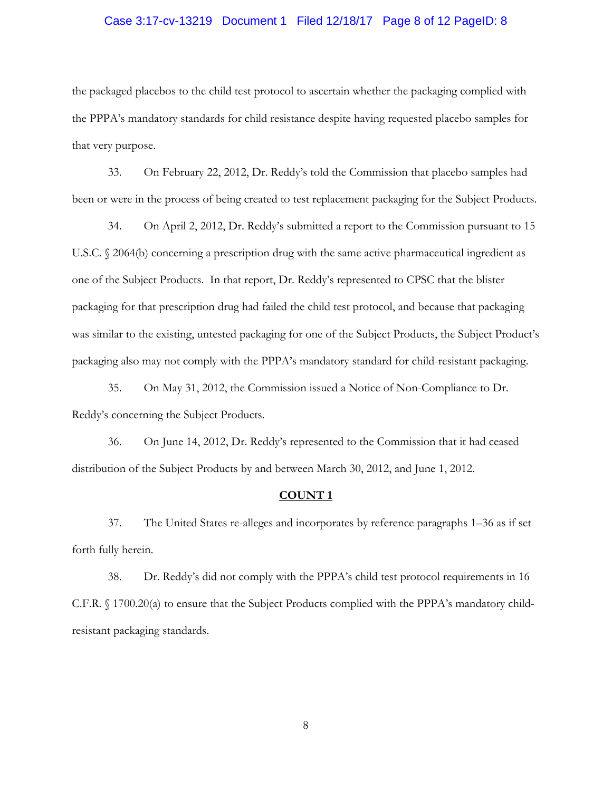### Case 3:17-cv-13219 Document 1 Filed 12/18/17 Page 8 of 12 PageID: 8

the packaged placebos to the child test protocol to ascertain whether the packaging complied with the PPPA's mandatory standards for child resistance despite having requested placebo samples for that very purpose.

33. On February 22, 2012, Dr. Reddy's told the Commission that placebo samples had been or were in the process of being created to test replacement packaging for the Subject Products.

34. On April 2, 2012, Dr. Reddy's submitted a report to the Commission pursuant to 15 U.S.C. § 2064(b) concerning a prescription drug with the same active pharmaceutical ingredient as one of the Subject Products. In that report, Dr. Reddy's represented to CPSC that the blister packaging for that prescription drug had failed the child test protocol, and because that packaging was similar to the existing, untested packaging for one of the Subject Products, the Subject Product's packaging also may not comply with the PPPA's mandatory standard for child-resistant packaging.

35. On May 31, 2012, the Commission issued a Notice of Non-Compliance to Dr. Reddy's concerning the Subject Products.

36. On June 14, 2012, Dr. Reddy's represented to the Commission that it had ceased distribution of the Subject Products by and between March 30, 2012, and June 1, 2012.

### **COUNT 1**

37. The United States re-alleges and incorporates by reference paragraphs 1–36 as if set forth fully herein.

38. Dr. Reddy's did not comply with the PPPA's child test protocol requirements in 16 C.F.R. § 1700.20(a) to ensure that the Subject Products complied with the PPPA's mandatory childresistant packaging standards.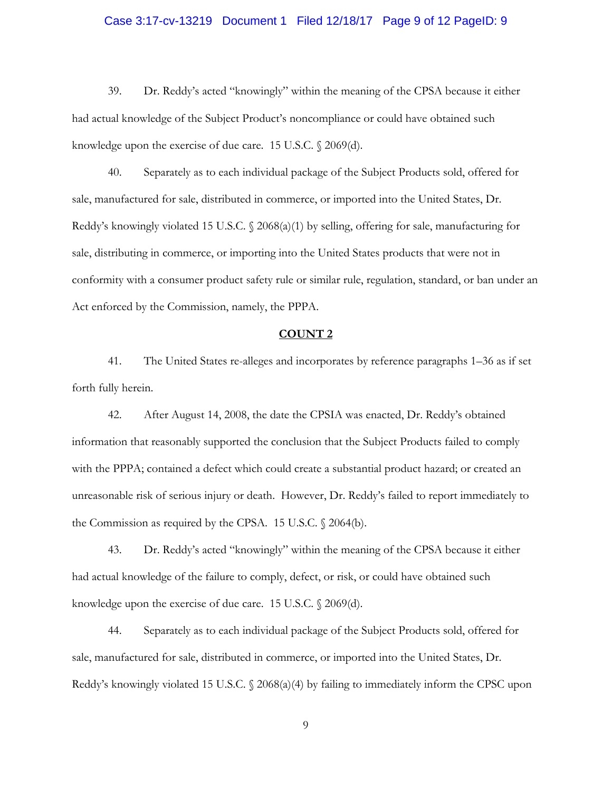# Case 3:17-cv-13219 Document 1 Filed 12/18/17 Page 9 of 12 PageID: 9

39. Dr. Reddy's acted "knowingly" within the meaning of the CPSA because it either had actual knowledge of the Subject Product's noncompliance or could have obtained such knowledge upon the exercise of due care. 15 U.S.C. § 2069(d).

40. Separately as to each individual package of the Subject Products sold, offered for sale, manufactured for sale, distributed in commerce, or imported into the United States, Dr. Reddy's knowingly violated 15 U.S.C. § 2068(a)(1) by selling, offering for sale, manufacturing for sale, distributing in commerce, or importing into the United States products that were not in conformity with a consumer product safety rule or similar rule, regulation, standard, or ban under an Act enforced by the Commission, namely, the PPPA.

### **COUNT 2**

41. The United States re-alleges and incorporates by reference paragraphs 1–36 as if set forth fully herein.

42. After August 14, 2008, the date the CPSIA was enacted, Dr. Reddy's obtained information that reasonably supported the conclusion that the Subject Products failed to comply with the PPPA; contained a defect which could create a substantial product hazard; or created an unreasonable risk of serious injury or death. However, Dr. Reddy's failed to report immediately to the Commission as required by the CPSA. 15 U.S.C. § 2064(b).

43. Dr. Reddy's acted "knowingly" within the meaning of the CPSA because it either had actual knowledge of the failure to comply, defect, or risk, or could have obtained such knowledge upon the exercise of due care. 15 U.S.C. § 2069(d).

44. Separately as to each individual package of the Subject Products sold, offered for sale, manufactured for sale, distributed in commerce, or imported into the United States, Dr. Reddy's knowingly violated 15 U.S.C. § 2068(a)(4) by failing to immediately inform the CPSC upon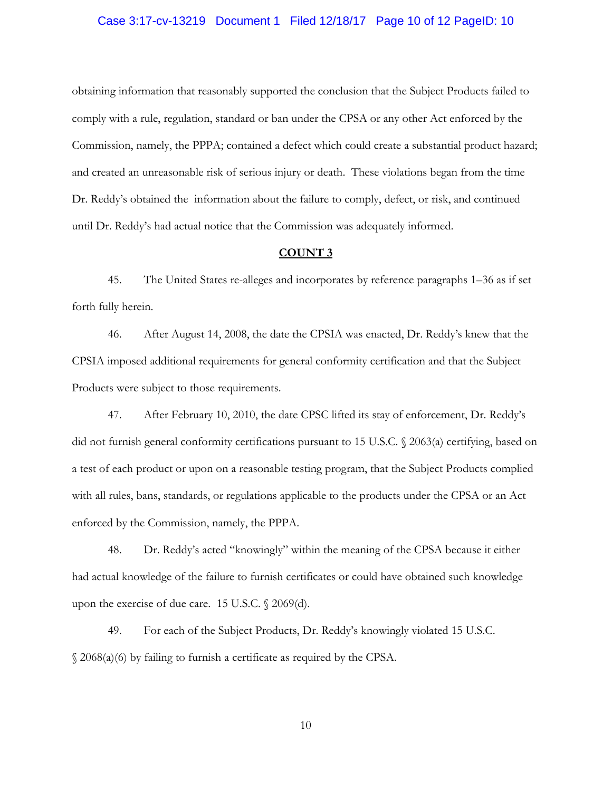# Case 3:17-cv-13219 Document 1 Filed 12/18/17 Page 10 of 12 PageID: 10

obtaining information that reasonably supported the conclusion that the Subject Products failed to comply with a rule, regulation, standard or ban under the CPSA or any other Act enforced by the Commission, namely, the PPPA; contained a defect which could create a substantial product hazard; and created an unreasonable risk of serious injury or death. These violations began from the time Dr. Reddy's obtained the information about the failure to comply, defect, or risk, and continued until Dr. Reddy's had actual notice that the Commission was adequately informed.

# **COUNT 3**

45. The United States re-alleges and incorporates by reference paragraphs 1–36 as if set forth fully herein.

46. After August 14, 2008, the date the CPSIA was enacted, Dr. Reddy's knew that the CPSIA imposed additional requirements for general conformity certification and that the Subject Products were subject to those requirements.

47. After February 10, 2010, the date CPSC lifted its stay of enforcement, Dr. Reddy's did not furnish general conformity certifications pursuant to 15 U.S.C. § 2063(a) certifying, based on a test of each product or upon on a reasonable testing program, that the Subject Products complied with all rules, bans, standards, or regulations applicable to the products under the CPSA or an Act enforced by the Commission, namely, the PPPA.

48. Dr. Reddy's acted "knowingly" within the meaning of the CPSA because it either had actual knowledge of the failure to furnish certificates or could have obtained such knowledge upon the exercise of due care. 15 U.S.C. § 2069(d).

49. For each of the Subject Products, Dr. Reddy's knowingly violated 15 U.S.C. § 2068(a)(6) by failing to furnish a certificate as required by the CPSA.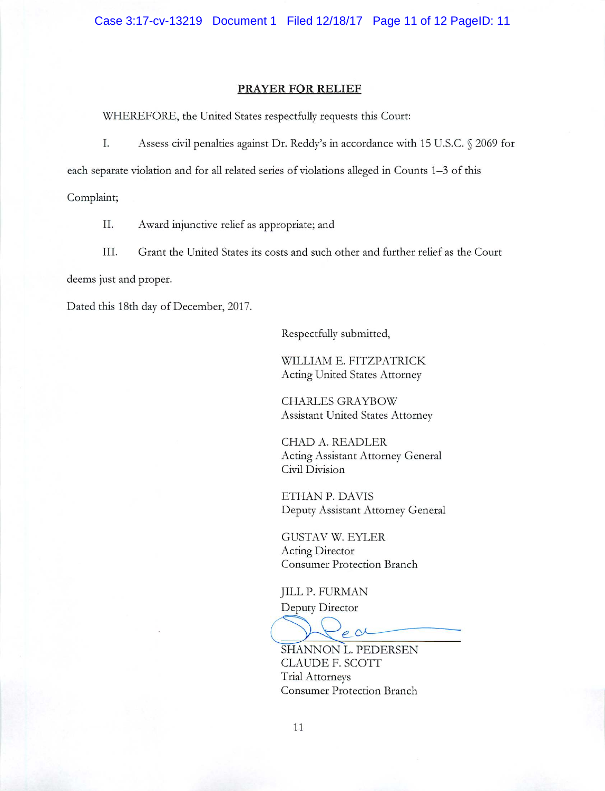### **PRAYER FOR RELIEF**

WHEREFORE, the United States respectfully requests this Court:

Ι. Assess civil penalties against Dr. Reddy's in accordance with 15 U.S.C. § 2069 for

each separate violation and for all related series of violations alleged in Counts 1-3 of this

Complaint;

II. Award injunctive relief as appropriate; and

III. Grant the United States its costs and such other and further relief as the Court

deems just and proper.

Dated this 18th day of December, 2017.

Respectfully submitted,

WILLIAM E. FITZPATRICK **Acting United States Attorney** 

**CHARLES GRAYBOW** Assistant United States Attorney

CHAD A. READLER Acting Assistant Attorney General Civil Division

ETHAN P. DAVIS Deputy Assistant Attorney General

**GUSTAV W. EYLER** Acting Director **Consumer Protection Branch** 

**JILL P. FURMAN** Deputy Director

ear

SHANNON L. PEDERSEN CLAUDE F. SCOTT **Trial Attorneys Consumer Protection Branch**